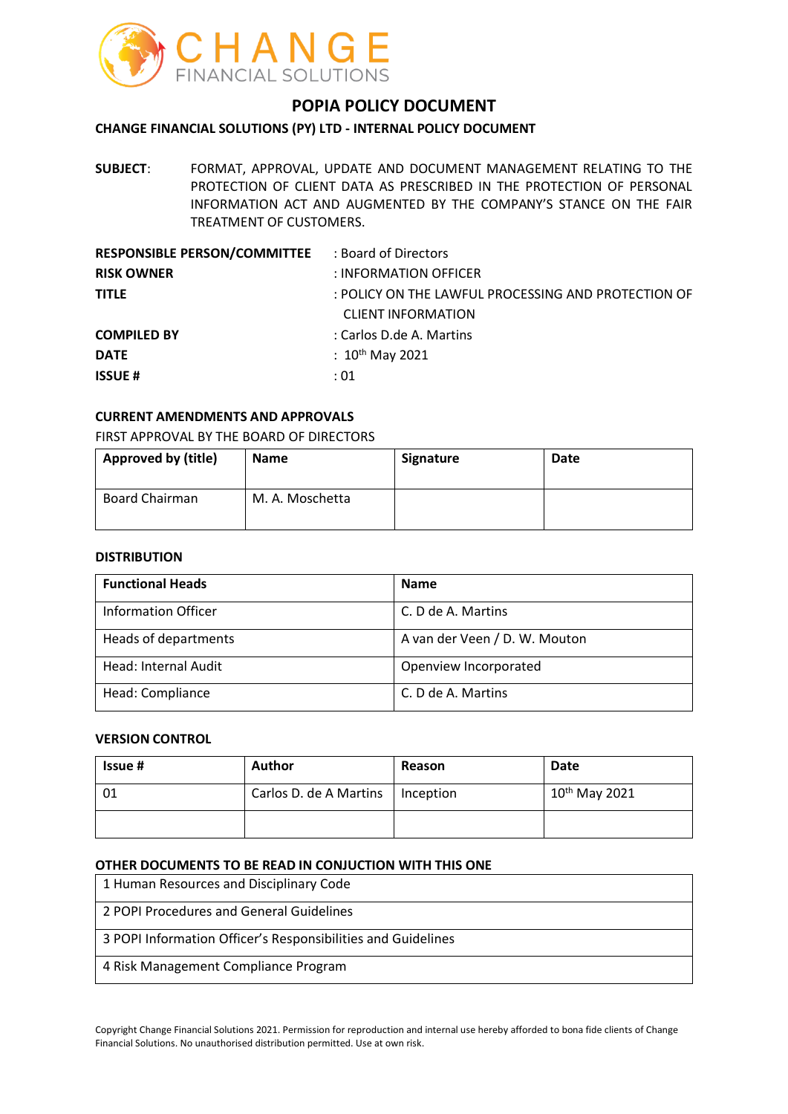

# **POPIA POLICY DOCUMENT**

### **CHANGE FINANCIAL SOLUTIONS (PY) LTD - INTERNAL POLICY DOCUMENT**

**SUBJECT**: FORMAT, APPROVAL, UPDATE AND DOCUMENT MANAGEMENT RELATING TO THE PROTECTION OF CLIENT DATA AS PRESCRIBED IN THE PROTECTION OF PERSONAL INFORMATION ACT AND AUGMENTED BY THE COMPANY'S STANCE ON THE FAIR TREATMENT OF CUSTOMERS.

| <b>RESPONSIBLE PERSON/COMMITTEE : Board of Directors</b> |                                                     |
|----------------------------------------------------------|-----------------------------------------------------|
| <b>RISK OWNER</b>                                        | : INFORMATION OFFICER                               |
| <b>TITLE</b>                                             | : POLICY ON THE LAWFUL PROCESSING AND PROTECTION OF |
|                                                          | <b>CLIENT INFORMATION</b>                           |
| <b>COMPILED BY</b>                                       | : Carlos D.de A. Martins                            |
| <b>DATE</b>                                              | : $10^{th}$ May 2021                                |
| <b>ISSUE#</b>                                            | :01                                                 |
|                                                          |                                                     |

### **CURRENT AMENDMENTS AND APPROVALS**

FIRST APPROVAL BY THE BOARD OF DIRECTORS

| <b>Approved by (title)</b> | <b>Name</b>     | Signature | Date |
|----------------------------|-----------------|-----------|------|
| <b>Board Chairman</b>      | M. A. Moschetta |           |      |

#### **DISTRIBUTION**

| <b>Functional Heads</b>    | <b>Name</b>                   |
|----------------------------|-------------------------------|
| <b>Information Officer</b> | C. D de A. Martins            |
| Heads of departments       | A van der Veen / D. W. Mouton |
| Head: Internal Audit       | Openview Incorporated         |
| Head: Compliance           | C. D de A. Martins            |

#### **VERSION CONTROL**

| <b>Issue #</b> | Author                             | Reason | Date               |
|----------------|------------------------------------|--------|--------------------|
| -01            | Carlos D. de A Martins   Inception |        | $10^{th}$ May 2021 |
|                |                                    |        |                    |

#### **OTHER DOCUMENTS TO BE READ IN CONJUCTION WITH THIS ONE**

1 Human Resources and Disciplinary Code 2 POPI Procedures and General Guidelines 3 POPI Information Officer's Responsibilities and Guidelines 4 Risk Management Compliance Program

Copyright Change Financial Solutions 2021. Permission for reproduction and internal use hereby afforded to bona fide clients of Change Financial Solutions. No unauthorised distribution permitted. Use at own risk.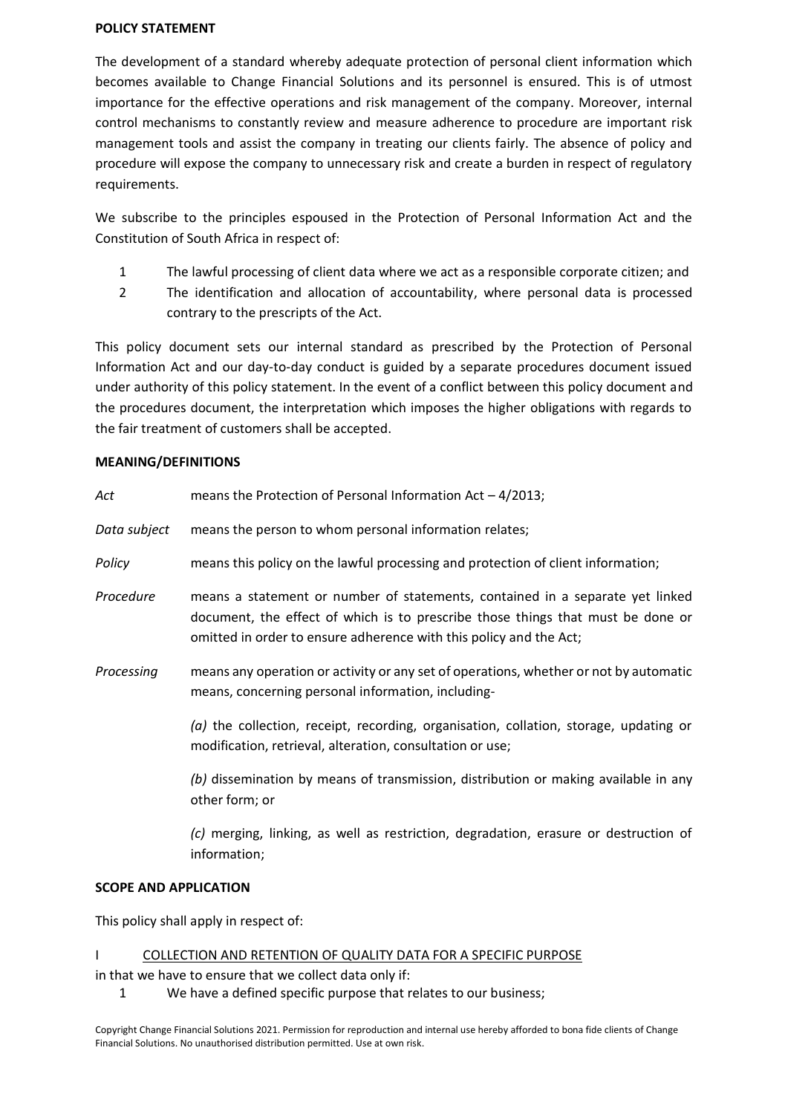#### **POLICY STATEMENT**

The development of a standard whereby adequate protection of personal client information which becomes available to Change Financial Solutions and its personnel is ensured. This is of utmost importance for the effective operations and risk management of the company. Moreover, internal control mechanisms to constantly review and measure adherence to procedure are important risk management tools and assist the company in treating our clients fairly. The absence of policy and procedure will expose the company to unnecessary risk and create a burden in respect of regulatory requirements.

We subscribe to the principles espoused in the Protection of Personal Information Act and the Constitution of South Africa in respect of:

- 1 The lawful processing of client data where we act as a responsible corporate citizen; and
- 2 The identification and allocation of accountability, where personal data is processed contrary to the prescripts of the Act.

This policy document sets our internal standard as prescribed by the Protection of Personal Information Act and our day-to-day conduct is guided by a separate procedures document issued under authority of this policy statement. In the event of a conflict between this policy document and the procedures document, the interpretation which imposes the higher obligations with regards to the fair treatment of customers shall be accepted.

### **MEANING/DEFINITIONS**

| Act          | means the Protection of Personal Information Act $-4/2013$ ;                                                                                                                                                                           |
|--------------|----------------------------------------------------------------------------------------------------------------------------------------------------------------------------------------------------------------------------------------|
| Data subject | means the person to whom personal information relates;                                                                                                                                                                                 |
| Policy       | means this policy on the lawful processing and protection of client information;                                                                                                                                                       |
| Procedure    | means a statement or number of statements, contained in a separate yet linked<br>document, the effect of which is to prescribe those things that must be done or<br>omitted in order to ensure adherence with this policy and the Act; |
| Processing   | means any operation or activity or any set of operations, whether or not by automatic<br>means, concerning personal information, including-                                                                                            |
|              | $(a)$ the collection, receipt, recording, organisation, collation, storage, updating or<br>modification, retrieval, alteration, consultation or use;                                                                                   |
|              | (b) dissemination by means of transmission, distribution or making available in any<br>other form; or                                                                                                                                  |
|              | (c) merging, linking, as well as restriction, degradation, erasure or destruction of<br>information;                                                                                                                                   |

### **SCOPE AND APPLICATION**

This policy shall apply in respect of:

### I COLLECTION AND RETENTION OF QUALITY DATA FOR A SPECIFIC PURPOSE

in that we have to ensure that we collect data only if:

1 We have a defined specific purpose that relates to our business;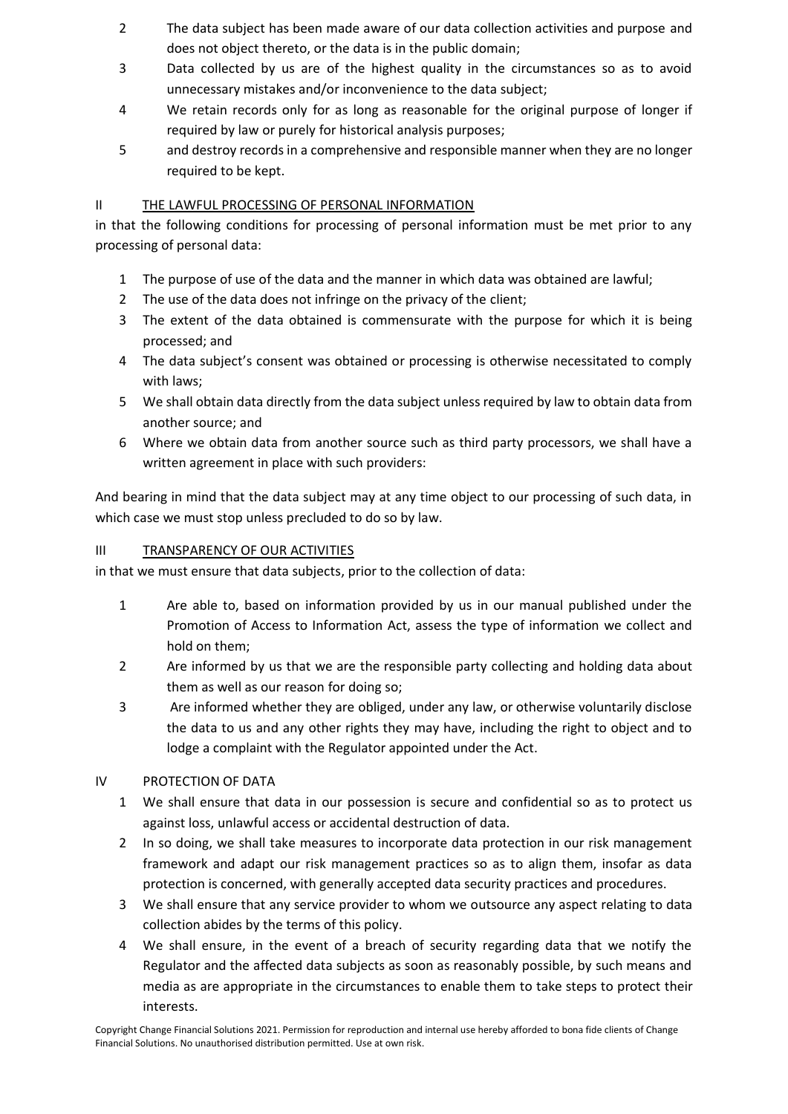- 2 The data subject has been made aware of our data collection activities and purpose and does not object thereto, or the data is in the public domain;
- 3 Data collected by us are of the highest quality in the circumstances so as to avoid unnecessary mistakes and/or inconvenience to the data subject;
- 4 We retain records only for as long as reasonable for the original purpose of longer if required by law or purely for historical analysis purposes;
- 5 and destroy records in a comprehensive and responsible manner when they are no longer required to be kept.

# II THE LAWFUL PROCESSING OF PERSONAL INFORMATION

in that the following conditions for processing of personal information must be met prior to any processing of personal data:

- 1 The purpose of use of the data and the manner in which data was obtained are lawful;
- 2 The use of the data does not infringe on the privacy of the client;
- 3 The extent of the data obtained is commensurate with the purpose for which it is being processed; and
- 4 The data subject's consent was obtained or processing is otherwise necessitated to comply with laws;
- 5 We shall obtain data directly from the data subject unless required by law to obtain data from another source; and
- 6 Where we obtain data from another source such as third party processors, we shall have a written agreement in place with such providers:

And bearing in mind that the data subject may at any time object to our processing of such data, in which case we must stop unless precluded to do so by law.

## III TRANSPARENCY OF OUR ACTIVITIES

in that we must ensure that data subjects, prior to the collection of data:

- 1 Are able to, based on information provided by us in our manual published under the Promotion of Access to Information Act, assess the type of information we collect and hold on them;
- 2 Are informed by us that we are the responsible party collecting and holding data about them as well as our reason for doing so;
- 3 Are informed whether they are obliged, under any law, or otherwise voluntarily disclose the data to us and any other rights they may have, including the right to object and to lodge a complaint with the Regulator appointed under the Act.

# IV PROTECTION OF DATA

- 1 We shall ensure that data in our possession is secure and confidential so as to protect us against loss, unlawful access or accidental destruction of data.
- 2 In so doing, we shall take measures to incorporate data protection in our risk management framework and adapt our risk management practices so as to align them, insofar as data protection is concerned, with generally accepted data security practices and procedures.
- 3 We shall ensure that any service provider to whom we outsource any aspect relating to data collection abides by the terms of this policy.
- 4 We shall ensure, in the event of a breach of security regarding data that we notify the Regulator and the affected data subjects as soon as reasonably possible, by such means and media as are appropriate in the circumstances to enable them to take steps to protect their interests.